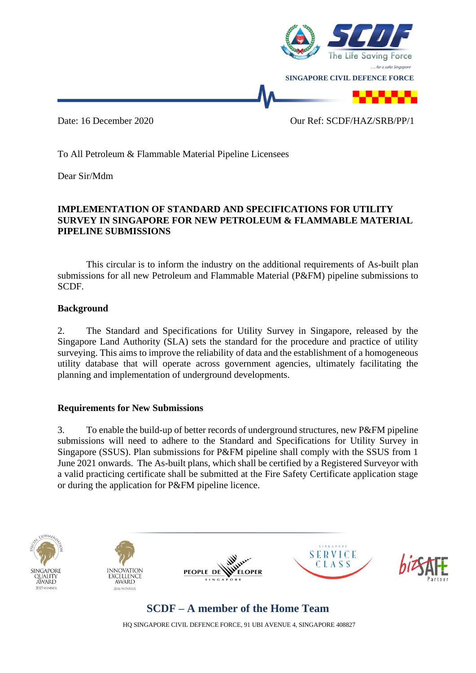

To All Petroleum & Flammable Material Pipeline Licensees

Dear Sir/Mdm

#### **IMPLEMENTATION OF STANDARD AND SPECIFICATIONS FOR UTILITY SURVEY IN SINGAPORE FOR NEW PETROLEUM & FLAMMABLE MATERIAL PIPELINE SUBMISSIONS**

This circular is to inform the industry on the additional requirements of As-built plan submissions for all new Petroleum and Flammable Material (P&FM) pipeline submissions to SCDF.

#### **Background**

2. The Standard and Specifications for Utility Survey in Singapore, released by the Singapore Land Authority (SLA) sets the standard for the procedure and practice of utility surveying. This aims to improve the reliability of data and the establishment of a homogeneous utility database that will operate across government agencies, ultimately facilitating the planning and implementation of underground developments.

#### **Requirements for New Submissions**

3. To enable the build-up of better records of underground structures, new P&FM pipeline submissions will need to adhere to the Standard and Specifications for Utility Survey in Singapore (SSUS). Plan submissions for P&FM pipeline shall comply with the SSUS from 1 June 2021 onwards. The As-built plans, which shall be certified by a Registered Surveyor with a valid practicing certificate shall be submitted at the Fire Safety Certificate application stage or during the application for P&FM pipeline licence.





### **SCDF – A member of the Home Team**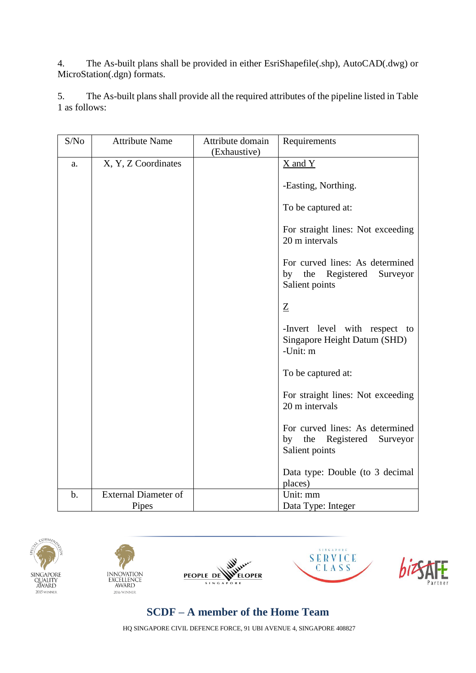4. The As-built plans shall be provided in either EsriShapefile(.shp), AutoCAD(.dwg) or MicroStation(.dgn) formats.

5. The As-built plans shall provide all the required attributes of the pipeline listed in Table 1 as follows:

| S/No  | <b>Attribute Name</b>       | Attribute domain | Requirements                                                                    |
|-------|-----------------------------|------------------|---------------------------------------------------------------------------------|
|       |                             | (Exhaustive)     |                                                                                 |
| a.    | X, Y, Z Coordinates         |                  | $\underline{X}$ and $\underline{Y}$                                             |
|       |                             |                  | -Easting, Northing.                                                             |
|       |                             |                  | To be captured at:                                                              |
|       |                             |                  | For straight lines: Not exceeding<br>20 m intervals                             |
|       |                             |                  | For curved lines: As determined<br>by the Registered Surveyor<br>Salient points |
|       |                             |                  | $\underline{Z}$                                                                 |
|       |                             |                  | -Invert level with respect to<br>Singapore Height Datum (SHD)<br>-Unit: m       |
|       |                             |                  | To be captured at:                                                              |
|       |                             |                  | For straight lines: Not exceeding<br>20 m intervals                             |
|       |                             |                  | For curved lines: As determined<br>by the Registered Surveyor<br>Salient points |
|       |                             |                  | Data type: Double (to 3 decimal<br>places)                                      |
| $b$ . | <b>External Diameter of</b> |                  | Unit: mm                                                                        |
|       | Pipes                       |                  | Data Type: Integer                                                              |











# **SCDF – A member of the Home Team**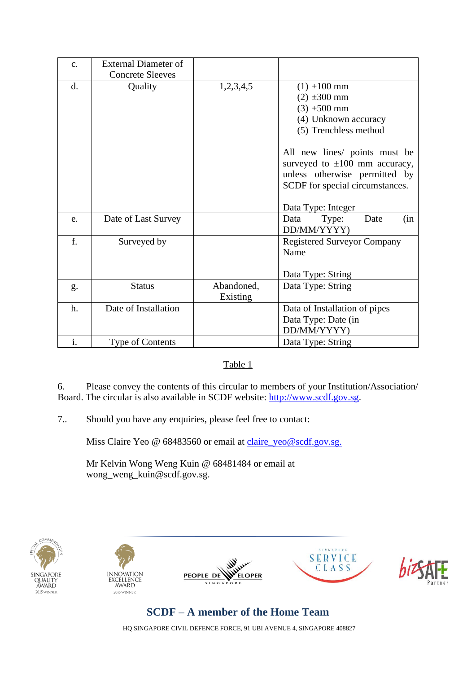| $C_{\bullet}$  | <b>External Diameter of</b> |                        |                                                                                                                                                                                                                                                                            |
|----------------|-----------------------------|------------------------|----------------------------------------------------------------------------------------------------------------------------------------------------------------------------------------------------------------------------------------------------------------------------|
|                | <b>Concrete Sleeves</b>     |                        |                                                                                                                                                                                                                                                                            |
| d.             | Quality                     | 1,2,3,4,5              | $(1) \pm 100$ mm<br>$(2) \pm 300$ mm<br>$(3) \pm 500$ mm<br>(4) Unknown accuracy<br>(5) Trenchless method<br>All new lines/ points must be<br>surveyed to $\pm 100$ mm accuracy,<br>unless otherwise permitted by<br>SCDF for special circumstances.<br>Data Type: Integer |
| e.             | Date of Last Survey         |                        | Data<br>Type:<br>Date<br>(in<br>DD/MM/YYYY)                                                                                                                                                                                                                                |
| f.             | Surveyed by                 |                        | <b>Registered Surveyor Company</b><br>Name<br>Data Type: String                                                                                                                                                                                                            |
| g.             | <b>Status</b>               | Abandoned,<br>Existing | Data Type: String                                                                                                                                                                                                                                                          |
| h.             | Date of Installation        |                        | Data of Installation of pipes<br>Data Type: Date (in<br>DD/MM/YYYY)                                                                                                                                                                                                        |
| $\mathbf{i}$ . | Type of Contents            |                        | Data Type: String                                                                                                                                                                                                                                                          |

#### Table 1

6. Please convey the contents of this circular to members of your Institution/Association/ Board. The circular is also available in SCDF website: [http://www.scdf.gov.sg.](http://www.scdf.gov.sg/)

7.. Should you have any enquiries, please feel free to contact:

Miss Claire Yeo @ 68483560 or email at [claire\\_yeo@scdf.gov.sg.](mailto:claire_yeo@scdf.gov.sg)

Mr Kelvin Wong Weng Kuin @ 68481484 or email at wong\_weng\_kuin@scdf.gov.sg.











# **SCDF – A member of the Home Team**